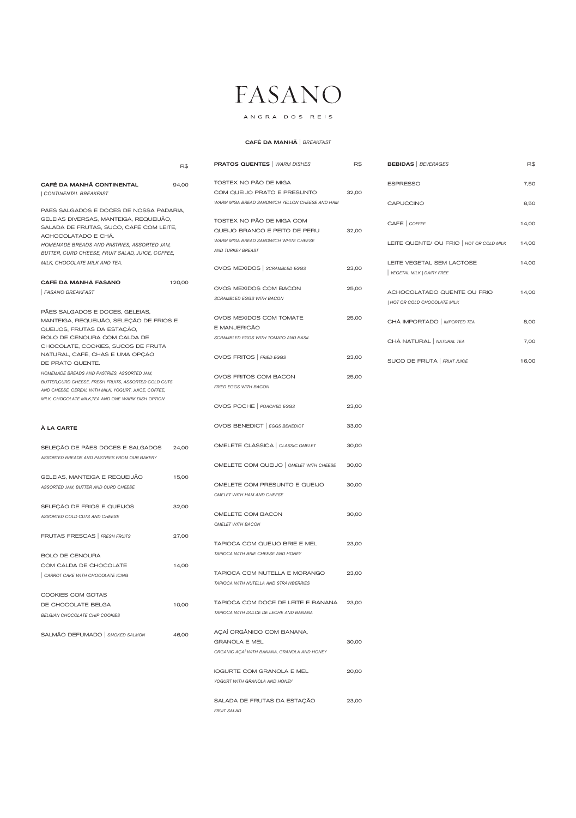ANGRA DOS REIS

|                                                                                                                                                                                                                     | R\$    | <b>PRATOS QUENTES</b>   WARM DISHES                                                                 | R\$   | <b>BEBIDAS</b>   BEVERAGES                                  | R\$            |
|---------------------------------------------------------------------------------------------------------------------------------------------------------------------------------------------------------------------|--------|-----------------------------------------------------------------------------------------------------|-------|-------------------------------------------------------------|----------------|
| CAFÉ DA MANHÃ CONTINENTAL<br>  CONTINENTAL BREAKFAST                                                                                                                                                                | 94,00  | TOSTEX NO PÃO DE MIGA<br>COM QUEIJO PRATO E PRESUNTO                                                | 32,00 | <b>ESPRESSO</b>                                             | 7,50           |
| PÃES SALGADOS E DOCES DE NOSSA PADARIA,                                                                                                                                                                             |        | WARM MIGA BREAD SANDWICH YELLON CHEESE AND HAM                                                      |       | CAPUCCINO                                                   | 8,50           |
| GELEIAS DIVERSAS, MANTEIGA, REQUEIJÃO,<br>SALADA DE FRUTAS, SUCO, CAFÉ COM LEITE,<br>ACHOCOLATADO E CHÁ.<br>HOMEMADE BREADS AND PASTRIES, ASSORTED JAM,                                                             |        | TOSTEX NO PÃO DE MIGA COM<br>QUEIJO BRANCO E PEITO DE PERU<br>WARM MIGA BREAD SANDWICH WHITE CHEESE | 32,00 | CAFÉ   COFFEE<br>LEITE QUENTE/ OU FRIO   HOT OR COLD MILK   | 14,00<br>14,00 |
| BUTTER, CURD CHEESE, FRUIT SALAD, JUICE, COFFEE,                                                                                                                                                                    |        | AND TURKEY BREAST                                                                                   |       |                                                             |                |
| MILK, CHOCOLATE MILK AND TEA.                                                                                                                                                                                       |        | OVOS MEXIDOS   SCRAMBLED EGGS                                                                       | 23,00 | LEITE VEGETAL SEM LACTOSE<br>VEGETAL MILK   DAIRY FREE      | 14,00          |
| CAFÉ DA MANHÃ FASANO<br><b>FASANO BREAKFAST</b>                                                                                                                                                                     | 120,00 | OVOS MEXIDOS COM BACON<br><b>SCRAMBLED EGGS WITH BACON</b>                                          | 25,00 | ACHOCOLATADO QUENTE OU FRIO<br>  HOT OR COLD CHOCOLATE MILK | 14,00          |
| PÃES SALGADOS E DOCES, GELEIAS,<br>MANTEIGA, REQUEIJÃO, SELEÇÃO DE FRIOS E<br>QUEIJOS, FRUTAS DA ESTAÇÃO,                                                                                                           |        | OVOS MEXIDOS COM TOMATE<br>E MANJERICÃO                                                             | 25,00 | CHÁ IMPORTADO   IMPORTED TEA                                | 8,00           |
| BOLO DE CENOURA COM CALDA DE<br>CHOCOLATE, COOKIES, SUCOS DE FRUTA                                                                                                                                                  |        | SCRAMBLED EGGS WITH TOMATO AND BASIL                                                                |       | CHÁ NATURAL   NATURAL TEA                                   | 7,00           |
| NATURAL, CAFÉ, CHÁS E UMA OPÇÃO<br>DE PRATO QUENTE.                                                                                                                                                                 |        | OVOS FRITOS   FRIED EGGS                                                                            | 23,00 | SUCO DE FRUTA   FRUIT JUICE                                 | 16,00          |
| HOMEMADE BREADS AND PASTRIES, ASSORTED JAM,<br>BUTTER, CURD CHEESE, FRESH FRUITS, ASSORTED COLD CUTS<br>AND CHEESE, CEREAL WITH MILK, YOGURT, JUICE, COFFEE,<br>MILK, CHOCOLATE MILK, TEA AND ONE WARM DISH OPTION. |        | OVOS FRITOS COM BACON<br>FRIED EGGS WITH BACON                                                      | 25,00 |                                                             |                |
|                                                                                                                                                                                                                     |        | OVOS POCHE   POACHED EGGS                                                                           | 23,00 |                                                             |                |
| À LA CARTE                                                                                                                                                                                                          |        | OVOS BENEDICT   EGGS BENEDICT                                                                       | 33,00 |                                                             |                |
| SELEÇÃO DE PÃES DOCES E SALGADOS<br>ASSORTED BREADS AND PASTRIES FROM OUR BAKERY                                                                                                                                    | 24,00  | OMELETE CLÁSSICA   CLASSIC OMELET                                                                   | 30,00 |                                                             |                |
|                                                                                                                                                                                                                     |        | OMELETE COM QUEIJO   OMELET WITH CHEESE                                                             | 30,00 |                                                             |                |
| GELEIAS, MANTEIGA E REQUEIJÃO<br>ASSORTED JAM, BUTTER AND CURD CHEESE                                                                                                                                               | 15,00  | OMELETE COM PRESUNTO E QUEIJO<br>OMELET WITH HAM AND CHEESE                                         | 30,00 |                                                             |                |
| SELEÇÃO DE FRIOS E QUEIJOS                                                                                                                                                                                          | 32,00  |                                                                                                     |       |                                                             |                |
| ASSORTED COLD CUTS AND CHEESE                                                                                                                                                                                       |        | OMELETE COM BACON<br><b>OMELET WITH BACON</b>                                                       | 30,00 |                                                             |                |
| FRUTAS FRESCAS   FRESH FRUITS                                                                                                                                                                                       | 27,00  | TAPIOCA COM QUEIJO BRIE E MEL                                                                       | 23,00 |                                                             |                |
| <b>BOLO DE CENOURA</b>                                                                                                                                                                                              |        | TAPIOCA WITH BRIE CHEESE AND HONEY                                                                  |       |                                                             |                |
| COM CALDA DE CHOCOLATE<br>CARROT CAKE WITH CHOCOLATE ICING                                                                                                                                                          | 14,00  | TAPIOCA COM NUTELLA E MORANGO<br>TAPIOCA WITH NUTELLA AND STRAWBERRIES                              | 23,00 |                                                             |                |

| DE CHOCOLATE BELGA<br><b>BELGIAN CHOCOLATE CHIP COOKIES</b> | 10,00 | TAPIOCA COM DOCE DE LEITE E BANANA<br>TAPIOCA WITH DULCE DE LECHE AND BANANA                     | 23,00 |
|-------------------------------------------------------------|-------|--------------------------------------------------------------------------------------------------|-------|
| SALMÃO DEFUMADO   SMOKED SALMON                             | 46,00 | ACAÍ ORGÂNICO COM BANANA,<br><b>GRANOLA E MEL</b><br>ORGANIC ACAÍ WITH BANANA, GRANOLA AND HONEY | 30,00 |
|                                                             |       | <b>IOGURTE COM GRANOLA E MEL</b><br>YOGURT WITH GRANOLA AND HONEY                                | 20,00 |
|                                                             |       | SALADA DE FRUTAS DA ESTAÇÃO                                                                      | 23,00 |

*FRUIT SALAD*

## CAFÉ DA MANHÃ | *BREAKFAST*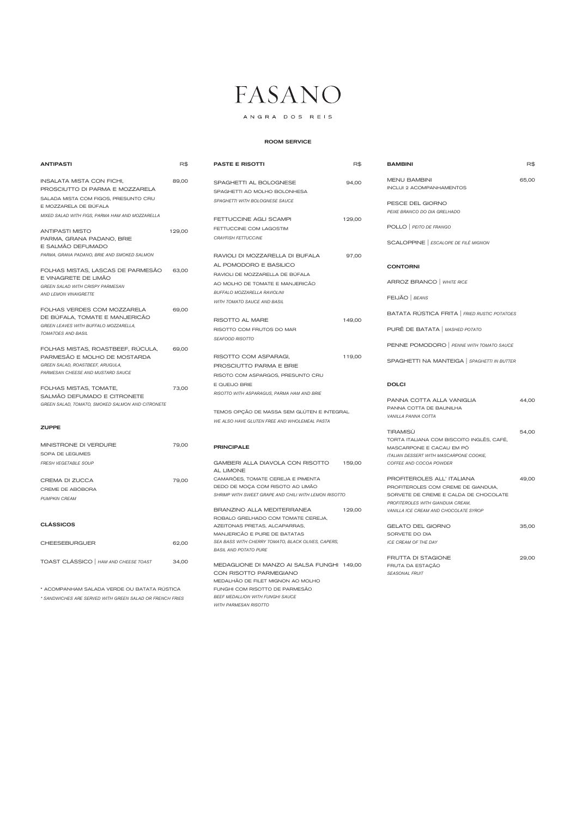ANGRA DOS REIS

\* ACOMPANHAM SALADA VERDE OU BATATA RÚSTICA

*\* SANDWICHES ARE SERVED WITH GREEN SALAD OR FRENCH FRIES*

| ANTIPASTI                                                                       | R\$    | <b>PASTE E RISOTTI</b>                                           | R\$    | <b>BAMBINI</b>                               | R\$   |
|---------------------------------------------------------------------------------|--------|------------------------------------------------------------------|--------|----------------------------------------------|-------|
| <b>INSALATA MISTA CON FICHI,</b>                                                | 89,00  | SPAGHETTI AL BOLOGNESE                                           | 94,00  | <b>MENU BAMBINI</b>                          | 65,00 |
| PROSCIUTTO DI PARMA E MOZZARELA                                                 |        | SPAGHETTI AO MOLHO BOLONHESA                                     |        | <b>INCLUI 2 ACOMPANHAMENTOS</b>              |       |
| SALADA MISTA COM FIGOS, PRESUNTO CRU                                            |        | SPAGHETTI WITH BOLOGNESE SAUCE                                   |        | PESCE DEL GIORNO                             |       |
| E MOZZARELA DE BÚFALA                                                           |        |                                                                  |        | PEIXE BRANCO DO DIA GRELHADO                 |       |
| MIXED SALAD WITH FIGS, PARMA HAM AND MOZZARELLA                                 |        | FETTUCCINE AGLI SCAMPI                                           | 129,00 |                                              |       |
| <b>ANTIPASTI MISTO</b>                                                          | 129,00 | FETTUCCINE COM LAGOSTIM                                          |        | POLLO   PEITO DE FRANGO                      |       |
| PARMA, GRANA PADANO, BRIE                                                       |        | <b>CRAYFISH FETTUCCINE</b>                                       |        | SCALOPPINE   ESCALOPE DE FILÉ MIGNON         |       |
| E SALMÃO DEFUMADO                                                               |        |                                                                  |        |                                              |       |
| PARMA, GRANA PADANO, BRIE AND SMOKED SALMON                                     |        | RAVIOLI DI MOZZARELLA DI BUFALA                                  | 97,00  |                                              |       |
| FOLHAS MISTAS, LASCAS DE PARMESÃO                                               | 63,00  | AL POMODORO E BASILICO                                           |        | <b>CONTORNI</b>                              |       |
| E VINAGRETE DE LIMÃO                                                            |        | RAVIOLI DE MOZZARELLA DE BÚFALA                                  |        |                                              |       |
| <b>GREEN SALAD WITH CRISPY PARMESAN</b>                                         |        | AO MOLHO DE TOMATE E MANJERICÃO                                  |        | ARROZ BRANCO   WHITE RICE                    |       |
| AND LEMON VINAIGRETTE                                                           |        | BUFFALO MOZZARELLA RAVIOLINI                                     |        | FEIJÃO   BEANS                               |       |
| FOLHAS VERDES COM MOZZARELA                                                     | 69,00  | WITH TOMATO SAUCE AND BASIL                                      |        |                                              |       |
| DE BÚFALA, TOMATE E MANJERICÃO                                                  |        |                                                                  |        | BATATA RÚSTICA FRITA   FRIED RUSTIC POTATOES |       |
| GREEN LEAVES WITH BUFFALO MOZZARELLA,                                           |        | RISOTTO AL MARE                                                  | 149,00 |                                              |       |
| TOMATOES AND BASIL                                                              |        | RISOTTO COM FRUTOS DO MAR                                        |        | PURÊ DE BATATA   MASHED POTATO               |       |
|                                                                                 |        | <b>SEAFOOD RISOTTO</b>                                           |        | PENNE POMODORO   PENNE WITH TOMATO SAUCE     |       |
| FOLHAS MISTAS, ROASTBEEF, RUCULA,<br>PARMESÃO E MOLHO DE MOSTARDA               | 69,00  | RISOTTO COM ASPARAGI,                                            | 119,00 |                                              |       |
| GREEN SALAD, ROASTBEEF, ARUGULA,                                                |        | PROSCIUTTO PARMA E BRIE                                          |        | SPAGHETTI NA MANTEIGA   SPAGHETTI IN BUTTER  |       |
| PARMESAN CHEESE AND MUSTARD SAUCE                                               |        | RISOTO COM ASPARGOS, PRESUNTO CRU                                |        |                                              |       |
|                                                                                 |        | E QUEIJO BRIE                                                    |        | <b>DOLCI</b>                                 |       |
| FOLHAS MISTAS, TOMATE,                                                          | 73,00  | RISOTTO WITH ASPARAGUS, PARMA HAM AND BRIE                       |        |                                              |       |
| SALMÃO DEFUMADO E CITRONETE<br>GREEN SALAD, TOMATO, SMOKED SALMON AND CITRONETE |        |                                                                  |        | PANNA COTTA ALLA VANIGLIA                    | 44,00 |
|                                                                                 |        | TEMOS OPÇÃO DE MASSA SEM GLÚTEN E INTEGRAL                       |        | PANNA COTTA DE BAUNILHA                      |       |
|                                                                                 |        | WE ALSO HAVE GLUTEN FREE AND WHOLEMEAL PASTA                     |        | VANILLA PANNA COTTA                          |       |
| <b>ZUPPE</b>                                                                    |        |                                                                  |        | <b>TIRAMISÙ</b>                              | 54,00 |
|                                                                                 |        |                                                                  |        | TORTA ITALIANA COM BISCOITO INGLÊS, CAFÉ,    |       |
| MINISTRONE DI VERDURE                                                           | 79,00  | <b>PRINCIPALE</b>                                                |        | MASCARPONE E CACAU EM PÓ                     |       |
| SOPA DE LEGUMES                                                                 |        |                                                                  |        | ITALIAN DESSERT WITH MASCARPONE COOKIE,      |       |
| <b>FRESH VEGETABLE SOUP</b>                                                     |        | GAMBERI ALLA DIAVOLA CON RISOTTO<br>AL LIMONE                    | 159,00 | COFFEE AND COCOA POWDER                      |       |
| CREMA DI ZUCCA                                                                  | 79,00  | CAMARÕES, TOMATE CEREJA E PIMENTA                                |        | PROFITEROLES ALL' ITALIANA                   | 49,00 |
| CREME DE ABÓBORA                                                                |        | DEDO DE MOÇA COM RISOTO AO LIMÃO                                 |        | PROFITEROLES COM CREME DE GIANDUIA.          |       |
| <b>PUMPKIN CREAM</b>                                                            |        | SHRIMP WITH SWEET GRAPE AND CHILI WITH LEMON RISOTTO             |        | SORVETE DE CREME E CALDA DE CHOCOLATE        |       |
|                                                                                 |        |                                                                  |        | PROFITEROLES WITH GIANDUIA CREAM,            |       |
|                                                                                 |        | BRANZINO ALLA MEDITERRANEA<br>ROBALO GRELHADO COM TOMATE CEREJA, | 129,00 | VANILLA ICE CREAM AND CHOCOLATE SYROP        |       |
| <b>CLASSICOS</b>                                                                |        | AZEITONAS PRETAS, ALCAPARRAS,                                    |        | <b>GELATO DEL GIORNO</b>                     | 35,00 |
|                                                                                 |        | MANJERICÃO E PURE DE BATATAS                                     |        | SORVETE DO DIA                               |       |
| <b>CHEESEBURGUER</b>                                                            | 62,00  | SEA BASS WITH CHERRY TOMATO, BLACK OLIVES, CAPERS,               |        | ICE CREAM OF THE DAY                         |       |
|                                                                                 |        | <b>BASIL AND POTATO PURE</b>                                     |        | FRUTTA DI STAGIONE                           | 29,00 |
| TOAST CLÁSSICO   HAM AND CHEESE TOAST                                           | 34,00  | MEDAGLIONE DI MANZO AI SALSA FUNGHI 149,00                       |        | FRUTA DA ESTAÇÃO                             |       |
|                                                                                 |        | CON RISOTTO PARMEGIANO                                           |        | <b>SEASONAL FRUIT</b>                        |       |
|                                                                                 |        | MEDALHÃO DE FILET MIGNON AO MOLHO                                |        |                                              |       |

FUNGHI COM RISOTTO DE PARMESÃO *BEEF MEDALLION WITH FUNGHI SAUCE WITH PARMESAN RISOTTO*

## ROOM SERVICE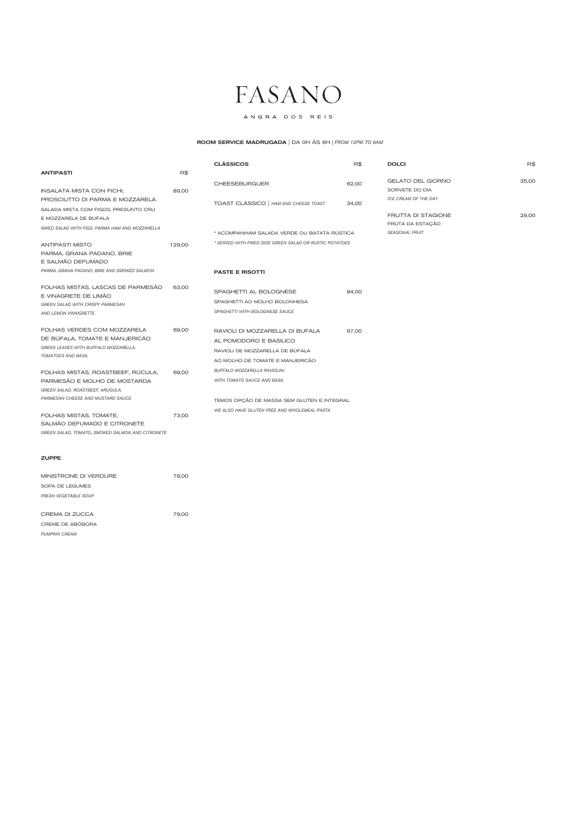## ANGRA DOS REIS

## ZUPPE

|                                                                       |        | <b>CLÁSSICOS</b>                                        | R\$   | <b>DOLCI</b>              | R\$   |
|-----------------------------------------------------------------------|--------|---------------------------------------------------------|-------|---------------------------|-------|
| <b>ANTIPASTI</b>                                                      | R\$    |                                                         |       |                           |       |
|                                                                       |        | <b>CHEESEBURGUER</b>                                    | 62,00 | <b>GELATO DEL GIORNO</b>  | 35.00 |
| INSALATA MISTA CON FICHI,                                             | 89,00  |                                                         |       | SORVETE DO DIA            |       |
| PROSCIUTTO DI PARMA E MOZZARELA                                       |        | TOAST CLÁSSICO   HAM AND CHEESE TOAST                   | 34,00 | ICE CREAM OF THE DAY      |       |
| SALADA MISTA COM FIGOS, PRESUNTO CRU                                  |        |                                                         |       |                           |       |
| E MOZZARELA DE BÚFALA                                                 |        |                                                         |       | <b>FRUTTA DI STAGIONE</b> | 29,00 |
| MIXED SALAD WITH FIGS, PARMA HAM AND MOZZARELLA                       |        |                                                         |       | FRUTA DA ESTAÇÃO          |       |
|                                                                       |        | * ACOMPANHAM SALADA VERDE OU BATATA RÚSTICA             |       | <b>SEASONAL FRUIT</b>     |       |
| ANTIPASTI MISTO                                                       | 129,00 | * SERVED WITH FRIED SIDE GREEN SALAD OR RUSTIC POTATOES |       |                           |       |
| PARMA, GRANA PADANO, BRIE                                             |        |                                                         |       |                           |       |
| E SALMÃO DEFUMADO                                                     |        |                                                         |       |                           |       |
| PARMA, GRANA PADANO, BRIE AND SMOKED SALMON                           |        | <b>PASTE E RISOTTI</b>                                  |       |                           |       |
| FOLHAS MISTAS, LASCAS DE PARMESÃO                                     | 63,00  |                                                         |       |                           |       |
| E VINAGRETE DE LIMÃO                                                  |        | SPAGHETTI AL BOLOGNESE                                  | 94,00 |                           |       |
| GREEN SALAD WITH CRISPY PARMESAN                                      |        | SPAGHETTI AO MOLHO BOLONHESA                            |       |                           |       |
| AND LEMON VINAIGRETTE                                                 |        | SPAGHETTI WITH BOLOGNESE SAUCE                          |       |                           |       |
| FOLHAS VERDES COM MOZZARELA                                           | 69,00  | RAVIOLI DI MOZZARELLA DI BUFALA                         | 97,00 |                           |       |
| DE BÚFALA, TOMATE E MANJERICÃO                                        |        | AL POMODORO E BASILICO                                  |       |                           |       |
| GREEN LEAVES WITH BUFFALO MOZZARELLA,                                 |        | RAVIOLI DE MOZZARELLA DE BÚFALA                         |       |                           |       |
| TOMATOES AND BASIL                                                    |        | AO MOLHO DE TOMATE E MANJERICÃO                         |       |                           |       |
|                                                                       |        | BUFFALO MOZZARELLA RAVIOLINI                            |       |                           |       |
| FOLHAS MISTAS, ROASTBEEF, RÚCULA,                                     | 69,00  | <b>WITH TOMATO SAUCE AND BASIL</b>                      |       |                           |       |
| PARMESÃO E MOLHO DE MOSTARDA                                          |        |                                                         |       |                           |       |
| GREEN SALAD, ROASTBEEF, ARUGULA,<br>PARMESAN CHEESE AND MUSTARD SAUCE |        |                                                         |       |                           |       |
|                                                                       |        | TEMOS OPÇÃO DE MASSA SEM GLÚTEN E INTEGRAL              |       |                           |       |
| FOLHAS MISTAS, TOMATE,                                                | 73,00  | WE ALSO HAVE GLUTEN FREE AND WHOLEMEAL PASTA            |       |                           |       |
| SALMÃO DEFUMADO E CITRONETE                                           |        |                                                         |       |                           |       |
| GREEN SALAD, TOMATO, SMOKED SALMON AND CITRONETE                      |        |                                                         |       |                           |       |
|                                                                       |        |                                                         |       |                           |       |
|                                                                       |        |                                                         |       |                           |       |

| MINISTRONE DI VERDURE       | 79,00 |
|-----------------------------|-------|
| SOPA DE LEGUMES             |       |
| <b>FRESH VEGETABLE SOUP</b> |       |
|                             |       |
| CREMA DI ZUCCA              | 79,00 |
| CREME DE ABÓBORA            |       |
| <b>PUMPKIN CREAM</b>        |       |

## ROOM SERVICE MADRUGADA | DA 0H ÀS 6H *| FROM 12PM TO 6AM*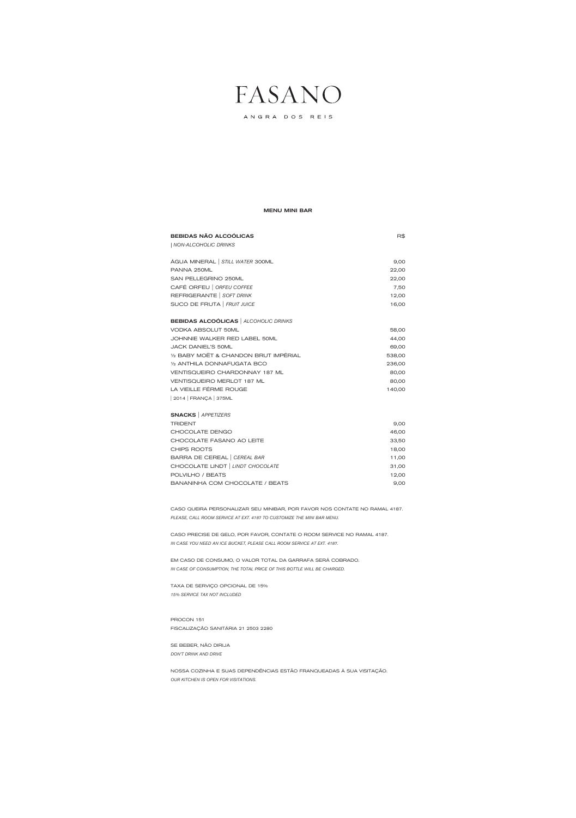ANGRA DOS REIS

### MENU MINI BAR

| <b>BEBIDAS NÃO ALCOÓLICAS</b>                | R\$    |
|----------------------------------------------|--------|
| NON-ALCOHOLIC DRINKS                         |        |
|                                              |        |
| ÁGUA MINERAL   STILL WATER 300ML             | 9,00   |
| PANNA 250ML                                  | 22,00  |
| SAN PELLEGRINO 250ML                         | 22,00  |
| CAFÉ ORFEU   ORFEU COFFEE                    | 7,50   |
| REFRIGERANTE   SOFT DRINK                    | 12,00  |
| SUCO DE FRUTA   FRUIT JUICE                  | 16,00  |
|                                              |        |
| <b>BEBIDAS ALCOÓLICAS</b>   ALCOHOLIC DRINKS |        |
| <b>VODKA ABSOLUT 50ML</b>                    | 58,00  |
| JOHNNIE WALKER RED LABEL 50ML                | 44,00  |
| <b>JACK DANIEL'S 50ML</b>                    | 69,00  |
| 1/2 BABY MOËT & CHANDON BRUT IMPÉRIAL        | 538,00 |
| 1/2 ANTHILA DONNAFUGATA BCO                  | 236,00 |
| <b>VENTISQUEIRO CHARDONNAY 187 ML</b>        | 80,00  |
| <b>VENTISQUEIRO MERLOT 187 ML</b>            | 80,00  |
| LA VIEILLE FÉRME ROUGE                       | 140,00 |
| 2014   FRANÇA   375ML                        |        |
| <b>SNACKS</b>   APPETIZERS                   |        |
| <b>TRIDENT</b>                               | 9,00   |
| CHOCOLATE DENGO                              | 46,00  |
| CHOCOLATE FASANO AO LEITE                    | 33,50  |
| CHIPS ROOTS                                  | 18,00  |
| BARRA DE CEREAL   CEREAL BAR                 | 11,00  |
| CHOCOLATE LINDT   LINDT CHOCOLATE            | 31,00  |
| POLVILHO / BEATS                             | 12,00  |
|                                              |        |

CASO QUEIRA PERSONALIZAR SEU MINIBAR, POR FAVOR NOS CONTATE NO RAMAL 4187. *PLEASE, CALL ROOM SERVICE AT EXT. 4187 TO CUSTOMIZE THE MINI BAR MENU.*

BANANINHA COM CHOCOLATE / BEATS 9,00

CASO PRECISE DE GELO, POR FAVOR, CONTATE O ROOM SERVICE NO RAMAL 4187. *IN CASE YOU NEED AN ICE BUCKET, PLEASE CALL ROOM SERVICE AT EXT. 4187.*

EM CASO DE CONSUMO, O VALOR TOTAL DA GARRAFA SERÁ COBRADO. *IN CASE OF CONSUMPTION, THE TOTAL PRICE OF THIS BOTTLE WILL BE CHARGED.*

TAXA DE SERVIÇO OPCIONAL DE 15%

*15% SERVICE TAX NOT INCLUDED*

PROCON 151 FISCALIZAÇÃO SANITÁRIA 21 2503 2280

SE BEBER, NÃO DIRIJA

*DON'T DRINK AND DRIVE*

NOSSA COZINHA E SUAS DEPENDÊNCIAS ESTÃO FRANQUEADAS À SUA VISITAÇÃO. *OUR KITCHEN IS OPEN FOR VISITATIONS.*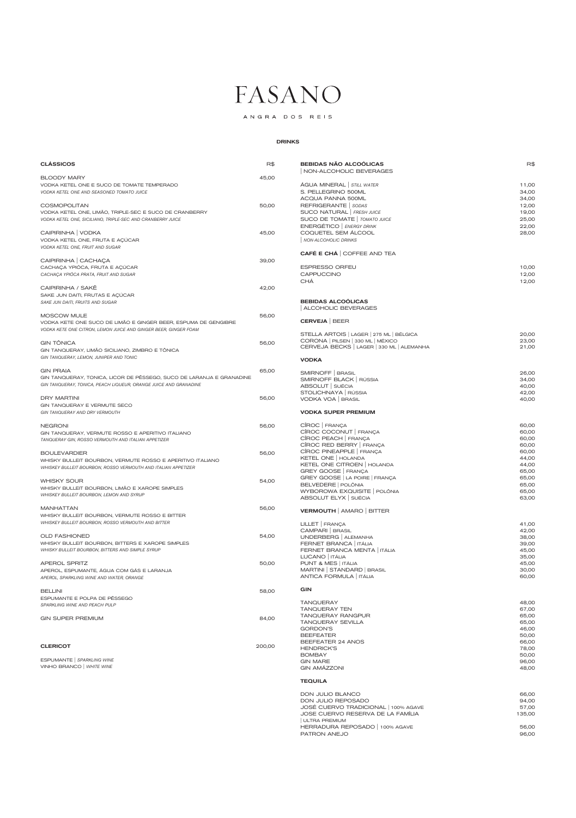ANGRA DOS REIS

## DRINKS

| <b>CLÁSSICOS</b>                                                     | R\$   | <b>BEBIDAS NÃO ALCOÓLICAS</b><br>NON-ALCOHOLIC BEVERAGES                       | R\$            |
|----------------------------------------------------------------------|-------|--------------------------------------------------------------------------------|----------------|
| <b>BLOODY MARY</b>                                                   | 45,00 |                                                                                |                |
| VODKA KETEL ONE E SUCO DE TOMATE TEMPERADO                           |       | ÁGUA MINERAL   STILL WATER                                                     | 11,00          |
| VODKA KETEL ONE AND SEASONED TOMATO JUICE                            |       | S. PELLEGRINO 500ML                                                            | 34,00          |
|                                                                      |       | ACQUA PANNA 500ML                                                              | 34,00          |
| <b>COSMOPOLITAN</b>                                                  | 50,00 | REFRIGERANTE   SODAS                                                           | 12,00          |
| VODKA KETEL ONE, LIMÃO, TRIPLE-SEC E SUCO DE CRANBERRY               |       | SUCO NATURAL   FRESH JUICE                                                     | 19,00          |
| VODKA KETEL ONE, SICILIANO, TRIPLE-SEC AND CRANBERRY JUICE           |       | SUCO DE TOMATE   TOMATO JUICE                                                  | 25,00          |
|                                                                      |       | ENERGÉTICO   ENERGY DRINK                                                      | 22,00          |
| CAIPIRINHA   VODKA                                                   | 45,00 | COQUETEL SEM ÁLCOOL                                                            | 28,00          |
| VODKA KETEL ONE, FRUTA E AÇÚCAR                                      |       | <b>NON-ALCOHOLIC DRINKS</b>                                                    |                |
| VODKA KETEL ONE, FRUIT AND SUGAR                                     |       |                                                                                |                |
|                                                                      |       | <b>CAFÉ E CHÁ   COFFEE AND TEA</b>                                             |                |
| CAIPIRINHA   CACHAÇA                                                 | 39,00 |                                                                                |                |
|                                                                      |       | <b>ESPRESSO ORFEU</b>                                                          |                |
| CACHAÇA YPIÓCA, FRUTA E AÇÚCAR                                       |       |                                                                                | 10,00          |
| CACHAÇA YPIÓCA PRATA, FRUIT AND SUGAR                                |       | CAPPUCCINO                                                                     | 12,00          |
|                                                                      |       | <b>CHÁ</b>                                                                     | 12,00          |
| CAIPIRINHA / SAKË                                                    | 42,00 |                                                                                |                |
| SAKE JUN DAITI, FRUTAS E AÇÚCAR                                      |       |                                                                                |                |
| SAKE JUN DAITI, FRUITS AND SUGAR                                     |       | <b>BEBIDAS ALCOÓLICAS</b>                                                      |                |
|                                                                      |       | ALCOHOLIC BEVERAGES                                                            |                |
| MOSCOW MULE                                                          | 56,00 |                                                                                |                |
| VODKA KETE ONE SUCO DE LIMÃO E GINGER BEER, ESPUMA DE GENGIBRE       |       | <b>CERVEJA</b> BEER                                                            |                |
| VODKA KETE ONE CITRON, LEMON JUICE AND GINGER BEER, GINGER FOAM      |       |                                                                                |                |
|                                                                      |       | STELLA ARTOIS   LAGER   275 ML   BÉLGICA                                       | 20,00          |
| <b>GIN TÔNICA</b>                                                    | 56,00 | CORONA   PILSEN   330 ML   MÉXICO<br>CERVEJA BECKS   LAGER   330 ML   ALEMANHA | 23,00<br>21,00 |
| GIN TANQUERAY, LIMÃO SICILIANO, ZIMBRO E TÔNICA                      |       |                                                                                |                |
| GIN TANQUERAY, LEMON, JUNIPER AND TONIC                              |       | <b>VODKA</b>                                                                   |                |
|                                                                      |       |                                                                                |                |
| <b>GIN PRAIA</b>                                                     | 65,00 | SMIRNOFF   BRASIL                                                              | 26,00          |
| GIN TANQUERAY, TONICA, LICOR DE PÉSSEGO, SUCO DE LARANJA E GRANADINE |       | SMIRNOFF BLACK   RÚSSIA                                                        | 34,00          |
| GIN TANQUERAY, TONICA, PEACH LIQUEUR, ORANGE JUICE AND GRANADINE     |       | ABSOLUT SUÉCIA                                                                 | 40,00          |
|                                                                      |       | STOLICHNAYA   RÚSSIA                                                           | 42,00          |
| <b>DRY MARTINI</b>                                                   | 56,00 | VODKA VOA   BRASIL                                                             | 40,00          |
| GIN TANQUERAY E VERMUTE SECO                                         |       |                                                                                |                |
| GIN TANQUERAY AND DRY VERMOUTH                                       |       | <b>VODKA SUPER PREMIUM</b>                                                     |                |
|                                                                      |       |                                                                                |                |
| <b>NEGRONI</b>                                                       | 56,00 | CÎROC FRANÇA                                                                   | 60,00          |
| GIN TANQUERAY, VERMUTE ROSSO E APERITIVO ITALIANO                    |       | CÎROC COCONUT FRANÇA                                                           | 60,00          |
| TANQUERAY GIN, ROSSO VERMOUTH AND ITALIAN APPETIZER                  |       | CÎROC PEACH FRANÇA                                                             | 60,00          |
|                                                                      |       | CÎROC RED BERRY FRANÇA                                                         | 60,00          |
| <b>BOULEVARDIER</b>                                                  |       | CÎROC PINEAPPLE FRANÇA                                                         | 60,00          |
|                                                                      | 56,00 | KETEL ONE   HOLANDA                                                            | 44,00          |
| WHISKY BULLEIT BOURBON, VERMUTE ROSSO E APERITIVO ITALIANO           |       | KETEL ONE CITROEN   HOLANDA                                                    | 44,00          |
| WHISKEY BULLEIT BOURBON, ROSSO VERMOUTH AND ITALIAN APPETIZER        |       | GREY GOOSE   FRANÇA                                                            | 65,00          |
|                                                                      |       | GREY GOOSE   LA POIRE   FRANÇA                                                 | 65,00          |
| <b>WHISKY SOUR</b>                                                   | 54,00 | BELVEDERE   POLÔNIA                                                            | 65,00          |
| WHISKY BULLEIT BOURBON, LIMÃO E XAROPE SIMPLES                       |       | WYBOROWA EXQUISITE   POLÔNIA                                                   | 65,00          |
| WHISKEY BULLEIT BOURBON, LEMON AND SYRUP                             |       | ABSOLUT ELYX SUÉCIA                                                            | 63,00          |
|                                                                      |       |                                                                                |                |
| <b>MANHATTAN</b>                                                     | 56,00 | <b>VERMOUTH</b>   AMARO   BITTER                                               |                |
| WHISKY BULLEIT BOURBON, VERMUTE ROSSO E BITTER                       |       |                                                                                |                |
| WHISKEY BULLEIT BOURBON, ROSSO VERMOUTH AND BITTER                   |       | LILLET   FRANÇA                                                                | 41,00          |
|                                                                      |       | CAMPARI   BRASIL                                                               | 42,00          |
| <b>OLD FASHIONED</b>                                                 | 54,00 | UNDERBERG   ALEMANHA                                                           | 38,00          |
|                                                                      |       | FERNET BRANCA   ITÁLIA                                                         | 39,00          |
| WHISKY BULLEIT BOURBON, BITTERS E XAROPE SIMPLES                     |       |                                                                                |                |
| WHISKY BULLEIT BOURBON, BITTERS AND SIMPLE SYRUP                     |       | FERNET BRANCA MENTA   ITÁLIA                                                   | 45,00          |
|                                                                      |       | LUCANO   ITÁLIA                                                                | 35,00          |
| <b>APEROL SPRITZ</b>                                                 | 50,00 | PUNT & MES   ITÁLIA                                                            | 45,00          |
| APEROL, ESPUMANTE, ÁGUA COM GÁS E LARANJA                            |       | MARTINI   STANDARD   BRASIL                                                    | 30,00          |

| <b>BELLINI</b>                                                | 58,00  | <b>GIN</b>                                                              |                         |
|---------------------------------------------------------------|--------|-------------------------------------------------------------------------|-------------------------|
| ESPUMANTE E POLPA DE PÊSSEGO<br>SPARKLING WINE AND PEACH PULP |        | <b>TANQUERAY</b><br><b>TANQUERAY TEN</b>                                | 48,00<br>67,00          |
| <b>GIN SUPER PREMIUM</b>                                      | 84,00  | <b>TANQUERAY RANGPUR</b><br><b>TANQUERAY SEVILLA</b><br><b>GORDON'S</b> | 65,00<br>65,00<br>46,00 |
| <b>CLERICOT</b>                                               | 200,00 | <b>BEEFEATER</b><br>BEEFEATER 24 ANOS<br><b>HENDRICK'S</b>              | 50,00<br>66,00<br>78,00 |
| ESPUMANTE   SPARKLING WINE<br>VINHO BRANCO   WHITE WINE       |        | <b>BOMBAY</b><br><b>GIN MARE</b><br><b>GIN AMÁZZONI</b>                 | 50,00<br>96,00<br>48,00 |
|                                                               |        | <b>TEQUILA</b>                                                          |                         |
|                                                               |        | DON JULIO BLANCO                                                        | 66,00                   |
|                                                               |        | DON JULIO REPOSADO                                                      | 94,00                   |
|                                                               |        | JOSÉ CUERVO TRADICIONAL   100% AGAVE                                    | 57,00                   |
|                                                               |        | JOSE CUERVO RESERVA DE LA FAMÍLIA                                       | 135,00                  |

HERRADURA REPOSADO | 100% AGAVE 56,00 PATRON ANEJO 86,00

| ULTRA PREMIUM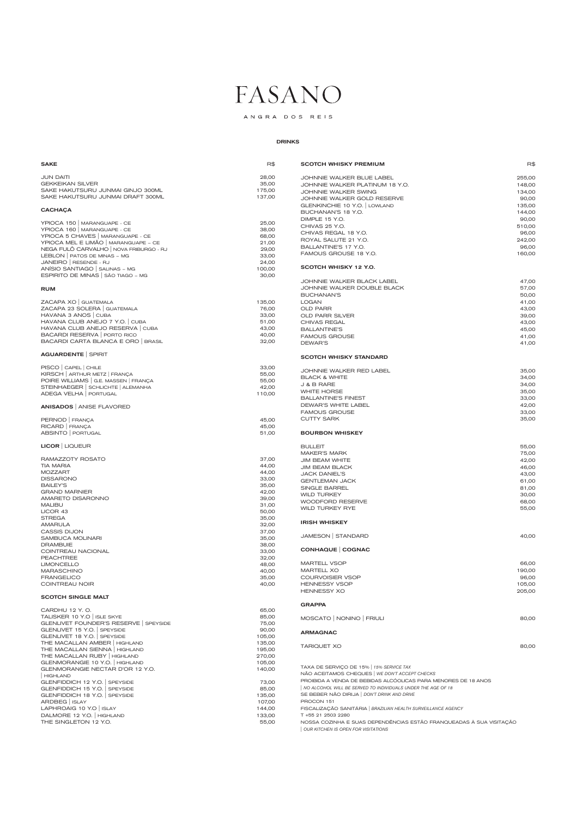## ANGRA DOS REIS

### DRINKS

COINTREAU NOIR 40,00

#### SCOTCH SINGLE MALT

#### $SAKE$  respectively. The contract of the contract of the contract of the contract of the contract of the contract of the contract of the contract of the contract of the contract of the contract of the contract of the contra JUN DAITI 28,00 GEKKEIKAN SILVER 35,00 SAKE HAKUTSURU JUNMAI GINJO 300ML 175,00 SAKE HAKUTSURU JUNMAI DRAFT 300ML 137,00 **CACHAÇA** YPIOCA 150 | MARANGUAPE - CE 25,00 YPIOCA 160 | MARANGUAPE - CE 38,00 YPIOCA 5 CHAVES | MARANGUAPE - CE 68,00 YPIOCA MEL E LIMÃO | MARANGUAPE – CE 21,00 NEGA FULÔ CARVALHO | NOVA FRIBURGO - RJ 29,00 LEBLON | PATOS DE MINAS – MG JANEIRO | RESENDE - RJ 24,00 ANÍSIO SANTIAGO | SALINAS – MG 100,00 ESPIRITO DE MINAS | SÃO TIAGO – MG 30,00 RUM ZACAPA XO | GUATEMALA 135,00 ZACAPA 23 SOLERA | GUATEMALA 76,00 HAVANA 3 ANOS | CUBA 33,00 HAVANA CLUB ANEJO 7 Y.O. | CUBA 51,00 HAVANA CLUB ANEJO RESERVA | CUBA 43,00 BACARDI RESERVA | PORTO RICO **100 ACCEDENT ACCEDENT ACCEDENT ACCEDENT** 40,00 BACARDI CARTA BLANCA E ORO | BRASIL 32,00 AGUARDENTE | SPIRIT PISCO | CAPEL | CHILE | CHILE | CONTRACTED | CAPEL | CHILE | SISTEMA | SISTEMA | SISTEMA | SISTEMA | SISTEMA | SISTEMA | SISTEMA | SISTEMA | SISTEMA | SISTEMA | SISTEMA | SISTEMA | SISTEMA | SISTEMA | SISTEMA | SISTEMA | S KIRSCH | ARTHUR METZ | FRANÇA **55,000** POIRE WILLIAMS | G.E. MASSEN | FRANÇA 55,00 STEINHAEGER | SCHLICHTE | ALEMANHA 42,00 ADEGA VELHA PORTUGAL 110,00 ANISADOS | ANISE FLAVORED PERNOD | FRANÇA 45,00 RICARD | FRANÇA 45,00 ABSINTO | PORTUGAL 61,000 ENGLES | ST.000 ENGLES | ST.000 ENGLES | ST.000 ENGLES | ST.000 ENGLES | ST.000 ENGLES | ST.000 ENGLES | ST.000 ENGLES | ST.000 ENGLES | ST.000 ENGLES | ST.000 ENGLES | ST.000 ENGLES | ST.000 ENGL LICOR | LIQUEUR RAMAZZOTY ROSATO 37,00 TIA MARIA 44,00 MOZZART 44,00 DISSARONO 33,00 BAILEY'S 35,00 GRAND MARNIER 42,00 AMARETO DISARONNO 39,000 MALIBU 31,00 LICOR 43 50,00 STREGA 35,00 AMARULA 32,00 CASSIS DIJON 37,00 SAMBUCA MOLINARI 25,000 DRAMBUIE 38,00 COINTREAU NACIONAL 33,00 PEACHTREE 32,00 LIMONCELLO 48,00 MARASCHINO 40,00 FRANGELICO 35,00 SCOTCH WHISKY PREMIUM **Research WHISKY PREMIUM** JOHNNIE WALKER BLUE LABEL 255,00 JOHNNIE WALKER PLATINUM 18 Y.O. 148,00 JOHNNIE WALKER SWING 134,00 JOHNNIE WALKER GOLD RESERVE **1999** 100 MHz 90,00 GLENKINCHIE 10 Y.O. | LOWLAND 135,00 BUCHANAN'S 18 Y.O. 144,00 DIMPLE 15 Y.O. 90,00 CHIVAS 25 Y.O. 510,00 CHIVAS REGAL 18 Y.O. 2008 12:00 12:00 12:00 12:00 12:00 12:00 12:00 12:00 12:00 12:00 12:00 12:00 12:00 12:00 1 ROYAL SALUTE 21 Y.O. 242,00 BALLANTINE'S 17 Y.O. 96,00 FAMOUS GROUSE 18 Y.O. 160,000 160,000 SCOTCH WHISKY 12 Y.O. JOHNNIE WALKER BLACK LABEL 47,00 JOHNNIE WALKER DOUBLE BLACK 57,00 BUCHANAN'S 50,00 LOGAN 41,00 OLD PARR 43,00 OLD PARR SILVER 39,00 CHIVAS REGAL 23,00 BALLANTINE'S 45,00 FAMOUS GROUSE 41,00 DEWAR'S 41,00 SCOTCH WHISKY STANDARD JOHNNIE WALKER RED LABEL 35,00 BLACK & WHITE 34,00  $J & B$  RARE 34,00 WHITE HORSE 35,00 BALLANTINE'S FINEST **33,00** DEWAR'S WHITE LABEL **AND SERVICE SERVICE SERVICE SERVICE SERVICE SERVICE SERVICE SERVICE SERVICE SERVICE SERVICE SERVICE SERVICE SERVICE SERVICE SERVICE SERVICE SERVICE SERVICE SERVICE SERVICE SERVICE SERVICE SERVICE SERVI** FAMOUS GROUSE 33,00 CUTTY SARK 35,00 BOURBON WHISKEY BULLEIT 55,00 MAKER'S MARK 75,000 JIM BEAM WHITE 42,00 JIM BEAM BLACK 46,00 JACK DANIEL'S 43,00 GENTLEMAN JACK 61,00 SINGLE BARREL 81,00 WILD TURKEY 30,000 WOODFORD RESERVE **68,00** WILD TURKEY RYE 55,00 IRISH WHISKEY JAMESON | STANDARD 40,00 CONHAQUE | COGNAC MARTELL VSOP 66,00 MARTELL XO 190,00 COURVOISIER VSOP 96,00

| CARDHU 12 Y.O.                       | 65,00  |
|--------------------------------------|--------|
| TALISKER 10 Y.O   ISLE SKYE          | 85,00  |
| GLENLIVET FOUNDER'S RESERVE SPEYSIDE | 75,00  |
| GLENLIVET 15 Y.O. SPEYSIDE           | 90,00  |
| GLENLIVET 18 Y.O. SPEYSIDE           | 105,00 |
| THE MACALLAN AMBER   HIGHLAND        | 135,00 |
| THE MACALLAN SIENNA   HIGHLAND       | 195,00 |
| THE MACALLAN RUBY   HIGHLAND         | 270,00 |
| GLENMORANGIE 10 Y.O.   HIGHLAND      | 105,00 |
| GLENMORANGIE NECTAR D'OR 12 Y.O.     | 140,00 |
| HIGHLAND                             |        |
| GLENFIDDICH 12 Y.O.   SPEYSIDE       | 73,00  |
| GLENFIDDICH 15 Y.O.   SPEYSIDE       | 85,00  |
| GLENFIDDICH 18 Y.O.   SPEYSIDE       | 135,00 |
| ARDBEG   ISLAY                       | 107,00 |
| LAPHROAIG 10 Y.O   ISLAY             | 144,00 |
| DALMORE 12 Y.O.   HIGHLAND           | 133,00 |
| THE SINGLETON 12 Y.O.                | 55,00  |

| HENNESSY XO | 205.00 |
|-------------|--------|
|             |        |

| GRAPPA |
|--------|
|--------|

| MOSCATO   NONINO   FRIULI |  |  | 80,00 |
|---------------------------|--|--|-------|
|                           |  |  |       |

HENNESSY VSOP **105,000** 

#### ARMAGNAC

TARIQUET XO 80,00

TAXA DE SERVIÇO DE 15% | *15% SERVICE TAX*

NÃO ACEITAMOS CHEQUES | *WE DON'T ACCEPT CHECKS*

PROIBIDA A VENDA DE BEBIDAS ALCÓOLICAS PARA MENORES DE 18 ANOS

| *NO ALCOHOL WILL BE SERVED TO INDIVIDUALS UNDER THE AGE OF 18*

SE BEBER NÃO DIRIJA | *DON'T DRINK AND DRIVE*

PROCON 151

FISCALIZAÇÃO SANITÁRIA | *BRAZILIAN HEALTH SURVEILLANCE AGENCY*

T +55 21 2503 2280

NOSSA COZINHA E SUAS DEPENDÊNCIAS ESTÃO FRANQUEADAS À SUA VISITAÇÃO

| *OUR KITCHEN IS OPEN FOR VISITATIONS*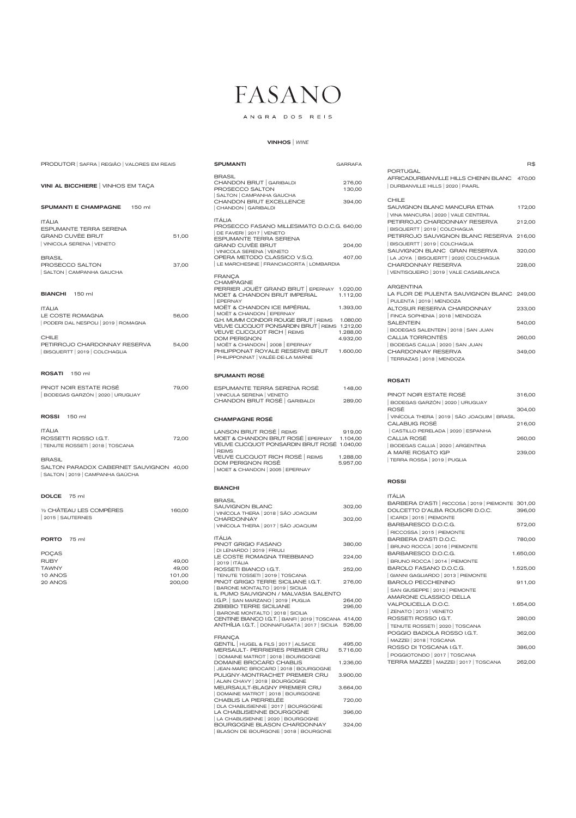## ANGRA DOS REIS

### VINHOS | *WINE*

| PRODUTOR   SAFRA   REGIÃO   VALORES EM REAIS                                                          |                 | <b>SPUMANTI</b>                                                                                                                                                                   | <b>GARRAFA</b>                   |
|-------------------------------------------------------------------------------------------------------|-----------------|-----------------------------------------------------------------------------------------------------------------------------------------------------------------------------------|----------------------------------|
| VINI AL BICCHIERE   VINHOS EM TAÇA                                                                    |                 | <b>BRASIL</b><br>CHANDON BRUT GARIBALDI<br>PROSECCO SALTON<br>SALTON   CAMPANHA GAUCHA<br>CHANDON BRUT EXCELLENCE                                                                 | 276,00<br>130,00<br>394,00       |
| <b>SPUMANTI E CHAMPAGNE</b><br>150 ml                                                                 |                 | CHANDON   GARIBALDI                                                                                                                                                               |                                  |
| <b>ITÁLIA</b><br><b>ESPUMANTE TERRA SERENA</b><br><b>GRAND CUVÈE BRUT</b><br>VINICOLA SERENA   VENETO | 51,00           | <b>ITÁLIA</b><br>PROSECCO FASANO MILLESIMATO D.O.C.G. 640,00<br>DE FAVERI   2017   VENETO<br><b>ESPUMANTE TERRA SERENA</b><br><b>GRAND CUVÈE BRUT</b><br>VINICOLA SERENA   VENETO | 204,00                           |
| <b>BRASIL</b><br>PROSECCO SALTON<br>SALTON   CAMPANHA GAUCHA                                          | 37,00           | OPERA METODO CLASSICO V.S.Q.<br>LE MARCHESINE   FRANCIACORTA   LOMBARDIA                                                                                                          | 407,00                           |
| <b>BIANCHI</b> 150 ml                                                                                 |                 | <b>FRANÇA</b><br><b>CHAMPAGNE</b><br>PERRIER JOUËT GRAND BRUT EPERNAY 1.020,00<br>MOET & CHANDON BRUT IMPERIAL<br><b>EPERNAY</b>                                                  | 1.112,00                         |
| <b>ITÁLIA</b><br>LE COSTE ROMAGNA<br>PODERI DAL NESPOLI   2019   ROMAGNA                              | 56,00           | MOËT & CHANDON ICE IMPÉRIAL<br>MOËT & CHANDON   EPERNAY<br>G.H. MUMM CONDOR ROUGE BRUT   REIMS<br>VEUVE CLICQUOT PONSARDIN BRUT   REIMS 1.212,00<br>VEUVE CLICQUOT RICH   REIMS   | 1.393,00<br>1.080,00<br>1.288,00 |
| <b>CHILE</b><br>PETIRROJO CHARDONNAY RESERVA<br>BISQUERTT   2019   COLCHAGUA                          | 54,00           | <b>DOM PERIGNON</b><br>MOËT & CHANDON 2008 EPERNAY<br>PHILIPPONAT ROYALE RESERVE BRUT<br>PHILIPPONNAT   VALÉE-DE-LA MARNE                                                         | 4.932,00<br>1.600,00             |
| <b>ROSATI</b><br>150 ml                                                                               |                 | <b>SPUMANTI ROSE</b>                                                                                                                                                              |                                  |
| PINOT NOIR ESTATE ROSÉ<br>BODEGAS GARZÓN   2020   URUGUAY                                             | 79,00           | ESPUMANTE TERRA SERENA ROSÉ<br>VINICULA SERENA   VENETO<br>CHANDON BRUT ROSÉ   GARIBALDI                                                                                          | 148,00<br>289,00                 |
| <b>ROSSI</b><br>150 ml                                                                                |                 | <b>CHAMPAGNE ROSÉ</b>                                                                                                                                                             |                                  |
| <b>ITÁLIA</b><br>ROSSETTI ROSSO I.G.T.<br>TENUTE ROSSETI   2018   TOSCANA                             | 72,00           | LANSON BRUT ROSÉ REIMS<br>MOET & CHANDON BRUT ROSÉ EPERNAY<br>VEUVE CLICQUOT PONSARDIN BRUT ROSÉ 1.040,00<br><b>REIMS</b>                                                         | 919,00<br>1.104,00               |
| <b>BRASIL</b><br>SALTON PARADOX CABERNET SAUVIGNON 40,00<br>SALTON 2019   CAMPANHA GAÚCHA             |                 | VEUVE CLICQUOT RICH ROSÉ   REIMS<br>DOM PERIGNON ROSÊ<br>MOET & CHANDON   2005   EPERNAY                                                                                          | 1.288,00<br>5.957,00             |
|                                                                                                       |                 | <b>BIANCHI</b>                                                                                                                                                                    |                                  |
| <b>DOLCE</b><br>75 ml<br>1/2 CHÂTEAU LES COMPÈRES<br>2015   SAUTERNES                                 | 160,00          | <b>BRASIL</b><br><b>SAUVIGNON BLANC</b><br>VINÍCOLA THERA 2018 SÃO JOAQUIM<br><b>CHARDONNAY</b><br>VINÍCOLA THERA 2017   SÃO JOAQUIM                                              | 302,00<br>302,00                 |
| <b>PORTO</b><br>75 ml                                                                                 |                 | <b>ITÁLIA</b><br>PINOT GRIGIO FASANO                                                                                                                                              | 380,00                           |
| <b>POÇAS</b><br><b>RUBY</b>                                                                           | 49,00           | DI LENARDO   2019   FRIULI<br>LE COSTE ROMAGNA TREBBIANO                                                                                                                          | 224,00                           |
| <b>TAWNY</b><br>10 ANOS                                                                               | 49,00<br>101,00 | 2019   ITÁLIA<br>ROSSETI BIANCO I.G.T.<br>TENUTE TOSSETI   2019   TOSCANA                                                                                                         | 252,00                           |
| 20 ANOS                                                                                               | 200.00          | PINOT GRIGIO TERRE SICILIANE I.G.T.                                                                                                                                               | 276,00                           |

| BARONE MONTALTO | 2019 | SICILIA

| IL PUMO SAUVIGNON / MALVASIA SALENTO                  |        |
|-------------------------------------------------------|--------|
| I.G.P. SAN MARZANO   2019   PUGLIA                    | 264.00 |
| ZIBIBBO TERRE SICILIANE                               | 296.00 |
| BARONE MONTALTO   2018   SICILIA                      |        |
| CENTINE BIANCO I.G.T.   BANFI   2019   TOSCANA 414,00 |        |
| ANTHÍLIA I.G.T.   DONNAFUGATA   2017   SICILIA 526,00 |        |

PINOT GRIGIO TERRE SICILIANE I.G.T. 276,00

### FRANÇA

| GENTIL   HUGEL & FILS   2017   ALSACE  | 495,00   |
|----------------------------------------|----------|
| <b>MERSAULT- PERRIERES PREMIER CRU</b> | 5.716.00 |
| DOMAINE MATROT   2018   BOURGOGNE      |          |
| <b>DOMAINE BROCARD CHABLIS</b>         | 1.236,00 |
| JEAN-MARC BROCARD   2018   BOURGOGNE   |          |
| PULIGNY-MONTRACHET PREMIER CRU         | 3.900,00 |
| ALAIN CHAVY   2018   BOURGOGNE         |          |
| MEURSAULT-BLAGNY PREMIER CRU           | 3.664,00 |
| DOMAINE MATROT   2018   BOURGOGNE      |          |
| CHABLIS LA PIERRELÉE                   | 720,00   |
| DLA CHABLISIENNE   2017   BOURGOGNE    |          |
| LA CHABLISIENNE BOURGOGNE              | 396,00   |
| LA CHABLISIENNE   2020   BOURGOGNE     |          |
| <b>BOURGOGNE BLASON CHARDONNAY</b>     | 324,00   |
| BLASON DE BOURGONE   2018   BOURGONE   |          |

R\$

| <b>PORTUGAL</b>                             |        |
|---------------------------------------------|--------|
| AFRICADURBANVILLE HILLS CHENIN BLANC 470,00 |        |
| DURBANVILLE HILLS   2020   PAARL            |        |
|                                             |        |
| CHILE                                       |        |
| SAUVIGNON BLANC MANCURA ETNIA               | 172,00 |
| VINA MANCURA   2020   VALE CENTRAL          |        |
| PETIRROJO CHARDONNAY RESERVA                | 212,00 |
| BISQUERTT   2019   COLCHAGUA                |        |
| PETIRROJO SAUVIGNON BLANC RESERVA 216,00    |        |
| BISQUERTT   2019   COLCHAGUA                |        |
| SAUVIGNON BLANC GRAN RESERVA                | 320,00 |
| LA JOYA   BISQUERTT   2020 COLCHAGUA        |        |
| CHARDONNAY RESERVA                          | 228,00 |
| VENTISQUEIRO   2019   VALE CASABLANCA       |        |
| <b>ARGENTINA</b>                            |        |
| LA FLOR DE PULENTA SAUVIGNON BLANC 249,00   |        |
| PULENTA   2019   MENDOZA                    |        |
| ALTOSUR RESERVA CHARDONNAY                  | 233,00 |
| FINCA SOPHENIA   2018   MENDOZA             |        |
| <b>SALENTEIN</b>                            | 540.00 |
|                                             |        |

| BODEGAS SALENTEIN   2018   SAN JUAN |        |
|-------------------------------------|--------|
| CALLIA TORRONTÉS                    | 260.00 |
| BODEGAS CALLIA   2020   SAN JUAN    |        |
| CHARDONNAY RESERVA                  | 349.00 |
| TERRAZAS 2018   MENDOZA             |        |

### ROSATI

| PINOT NOIR ESTATE ROSÉ                 | 316,00 |
|----------------------------------------|--------|
| BODEGAS GARZÓN   2020   URUGUAY        |        |
| ROSÉ                                   | 304.00 |
| VINÍCOLA THERA 2019 SÃO JOAQUIM BRASIL |        |
| CALABUIG ROSÉ                          | 216,00 |
| CASTILLO PERELADA   2020   ESPANHA     |        |
| CALLIA ROSÉ                            | 260,00 |
| BODEGAS CALLIA   2020   ARGENTINA      |        |
| A MARE ROSATO IGP                      | 239.00 |
| TERRA ROSSA   2019   PUGLIA            |        |

### ROSSI

| ITÁI IA                                         |          |
|-------------------------------------------------|----------|
| BARBERA D'ASTI RICCOSA   2019   PIEMONTE 301,00 |          |
| DOLCETTO D'ALBA ROUSORI D.O.C.                  | 396,00   |
| ICARDI   2015   PIEMONTE                        |          |
| BARBARESCO D.O.C.G.                             | 572,00   |
| RICCOSSA   2015   PIEMONTE                      |          |
| BARBERA D'ASTI D.O.C.                           | 780,00   |
| BRUNO ROCCA   2016   PIEMONTE                   |          |
| BARBARESCO D.O.C.G.                             | 1.650,00 |
| BRUNO ROCCA   2014   PIEMONTE                   |          |
| BAROLO FASANO D.O.C.G.                          | 1.525,00 |
| GIANNI GAGLIARDO   2013   PIEMONTE              |          |
| BAROLO PECCHENINO                               | 911,00   |
| SAN GIUSEPPE   2012   PIEMONTE                  |          |
| AMARONE CLASSICO DELLA                          |          |
| VALPOLICELLA D.O.C.                             | 1.654,00 |
| ZENATO   2013   VENETO                          |          |
| ROSSETI ROSSO I.G.T.                            | 280,00   |
| TENUTE ROSSETI   2020   TOSCANA                 |          |
| POGGIO BADIOLA ROSSO I.G.T.                     | 362,00   |
| MAZZEI 2018   TOSCANA                           |          |
| ROSSO DI TOSCANA LG.T.                          | 386,00   |
| POGGIOTONDO 2017   TOSCANA                      |          |
| TERRA MAZZEI   MAZZEI   2017   TOSCANA          | 262,00   |